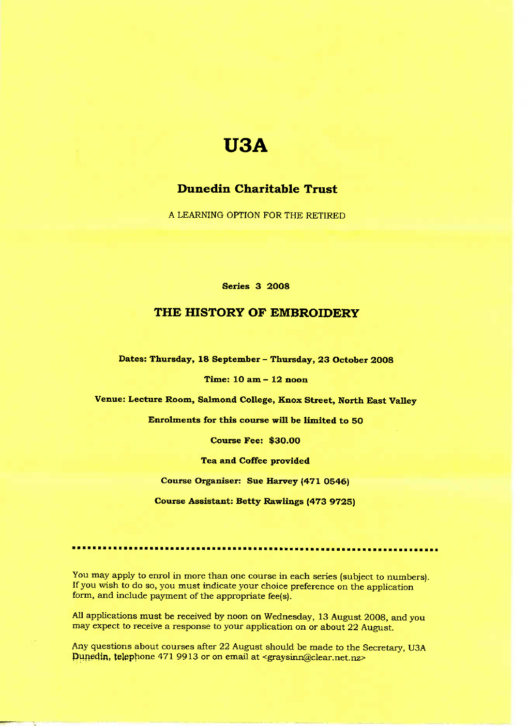# **USA**

# **Dunedin Charitable Trust**

A LEARNING OPTION FOR THE RETIRED

**Series 3 2008**

# **THE HISTORY OF EMBROIDERY**

**Dates: Thursday, 18 September - Thursday, 23 October 2OO8**

#### **Time: 10 am - 12 noon**

**Venue: Lecture Room,** Salmond **College,** Knox **Street, North East Valley**

**Enrolments for this course will be limited to 50**

**Course Fee: \$30.OO**

**Tea and Coffee provided**

**Course Organiser: Sue Harvey (471 0546)**

**Course Assistant: Betty Rawlings (473 9725)**

You may apply to enrol in more than one course in each series (subject to numbers). If you wish to do so, you must indicate your choice preference on the application form, and include payment of the appropriate fee(s).

All applications must be received by noon on Wednesday, 13 August 2008, and you may expect to receive a response to your application on or about 22 August.

Any questions about courses after 22 August should be made to the Secretary, USA Dunedin, telephone 471 9913 or on email at <graysinn@clear.net.nz>